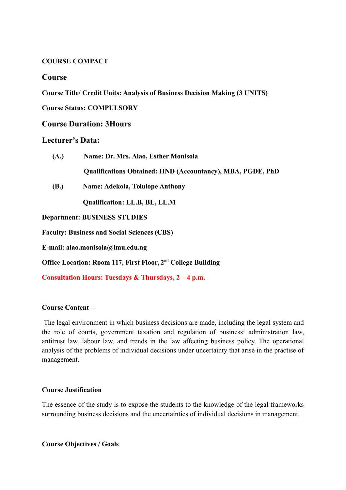### **COURSE COMPACT**

## **Course**

**Course Title/ Credit Units: Analysis of Business Decision Making (3 UNITS)**

**Course Status: COMPULSORY**

### **Course Duration: 3Hours**

# **Lecturer's Data:**

- **(A.) Name: Dr. Mrs. Alao, Esther Monisola Qualifications Obtained: HND (Accountancy), MBA, PGDE, PhD**
- **(B.) Name: Adekola, Tolulope Anthony**

 **Qualification: LL.B, BL, LL.M**

**Department: BUSINESS STUDIES**

**Faculty: Business and Social Sciences (CBS)**

**E-mail: alao.monisola@lmu.edu.ng**

**Office Location: Room 117, First Floor, 2nd College Building**

**Consultation Hours: Tuesdays & Thursdays, 2 – 4 p.m.** 

### **Course Content—**

 The legal environment in which business decisions are made, including the legal system and the role of courts, government taxation and regulation of business: administration law, antitrust law, labour law, and trends in the law affecting business policy. The operational analysis of the problems of individual decisions under uncertainty that arise in the practise of management.

#### **Course Justification**

The essence of the study is to expose the students to the knowledge of the legal frameworks surrounding business decisions and the uncertainties of individual decisions in management.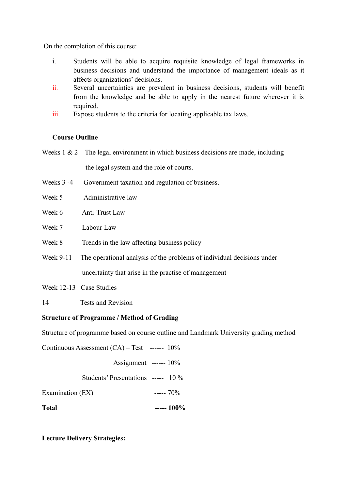On the completion of this course:

- i. Students will be able to acquire requisite knowledge of legal frameworks in business decisions and understand the importance of management ideals as it affects organizations' decisions.
- ii. Several uncertainties are prevalent in business decisions, students will benefit from the knowledge and be able to apply in the nearest future wherever it is required
- iii. Expose students to the criteria for locating applicable tax laws.

# **Course Outline**

- Weeks  $1 \& 2$  The legal environment in which business decisions are made, including the legal system and the role of courts.
- Weeks 3 -4 Government taxation and regulation of business.
- Week 5 Administrative law
- Week 6 Anti-Trust Law
- Week 7 Labour Law
- Week 8 Trends in the law affecting business policy
- Week 9-11 The operational analysis of the problems of individual decisions under uncertainty that arise in the practise of management
- Week 12-13 Case Studies
- 14 Tests and Revision

### **Structure of Programme / Method of Grading**

Structure of programme based on course outline and Landmark University grading method

Continuous Assessment  $(CA)$  – Test ------  $10\%$  Assignment ------ 10% Students' Presentations ----- 10 % Examination  $(EX)$  -----  $70\%$ **Total ----- 100%**

**Lecture Delivery Strategies:**